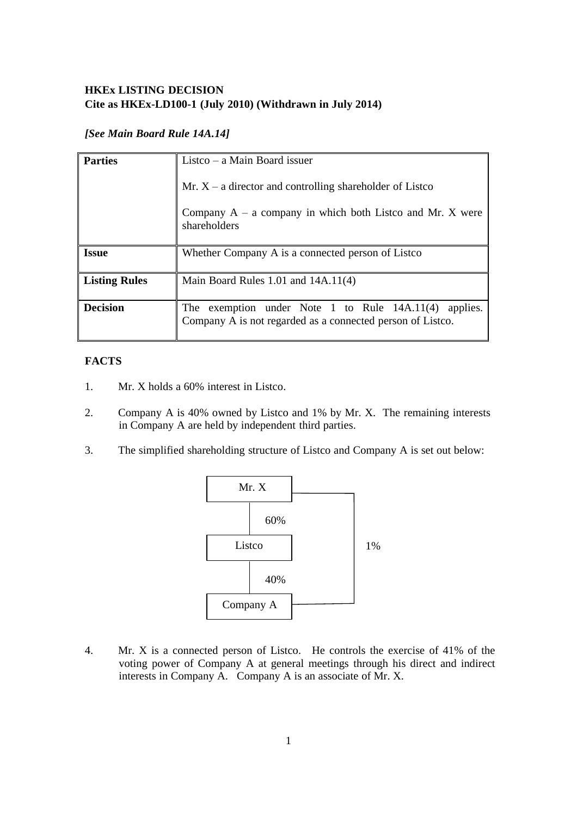# **HKEx LISTING DECISION Cite as HKEx-LD100-1 (July 2010) (Withdrawn in July 2014)**

# *[See Main Board Rule 14A.14]*

| <b>Parties</b>       | Listco $-$ a Main Board issuer                                                                                           |
|----------------------|--------------------------------------------------------------------------------------------------------------------------|
|                      | Mr. $X - a$ director and controlling shareholder of Listco                                                               |
|                      | Company $A - a$ company in which both Listco and Mr. X were<br>shareholders                                              |
| <b>Issue</b>         | Whether Company A is a connected person of Listco                                                                        |
| <b>Listing Rules</b> | Main Board Rules $1.01$ and $14A.11(4)$                                                                                  |
| <b>Decision</b>      | The exemption under Note 1 to Rule $14A.11(4)$<br>applies.<br>Company A is not regarded as a connected person of Listco. |

# **FACTS**

- 1. Mr. X holds a 60% interest in Listco.
- 2. Company A is 40% owned by Listco and 1% by Mr. X. The remaining interests in Company A are held by independent third parties.
- 3. The simplified shareholding structure of Listco and Company A is set out below:



4. Mr. X is a connected person of Listco. He controls the exercise of 41% of the voting power of Company A at general meetings through his direct and indirect interests in Company A. Company A is an associate of Mr. X.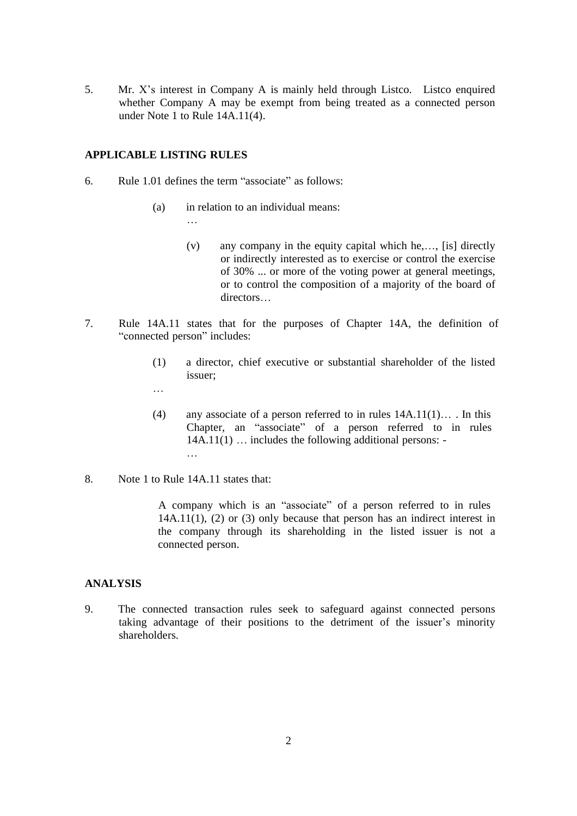5. Mr. X's interest in Company A is mainly held through Listco. Listco enquired whether Company A may be exempt from being treated as a connected person under Note 1 to Rule 14A.11(4).

#### **APPLICABLE LISTING RULES**

- 6. Rule 1.01 defines the term "associate" as follows:
	- (a) in relation to an individual means:
		- (v) any company in the equity capital which he,…, [is] directly or indirectly interested as to exercise or control the exercise of 30% ... or more of the voting power at general meetings, or to control the composition of a majority of the board of directors…
- 7. Rule 14A.11 states that for the purposes of Chapter 14A, the definition of "connected person" includes:
	- (1) a director, chief executive or substantial shareholder of the listed issuer;
	- …
	- (4) any associate of a person referred to in rules 14A.11(1)… . In this Chapter, an "associate" of a person referred to in rules 14A.11(1) … includes the following additional persons: -
- 8. Note 1 to Rule 14A.11 states that:

A company which is an "associate" of a person referred to in rules 14A.11(1), (2) or (3) only because that person has an indirect interest in the company through its shareholding in the listed issuer is not a connected person.

### **ANALYSIS**

9. The connected transaction rules seek to safeguard against connected persons taking advantage of their positions to the detriment of the issuer's minority shareholders.